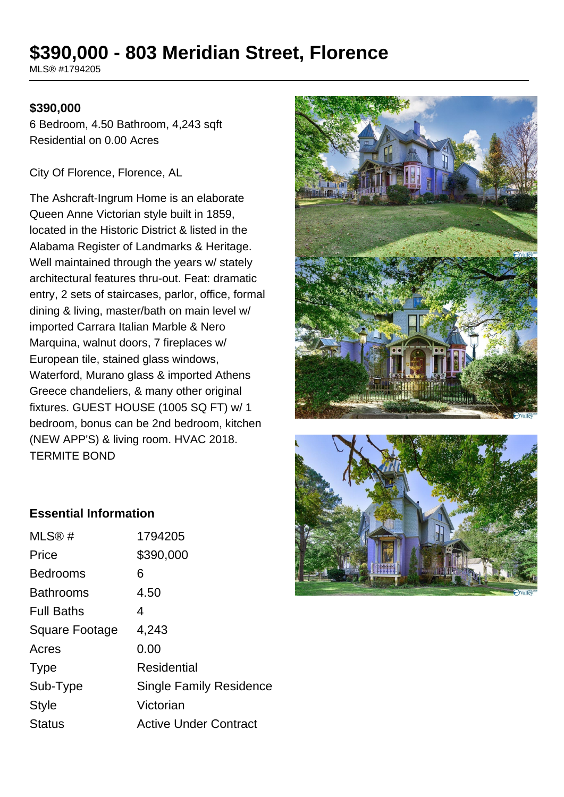# **\$390,000 - 803 Meridian Street, Florence**

MLS® #1794205

#### **\$390,000**

6 Bedroom, 4.50 Bathroom, 4,243 sqft Residential on 0.00 Acres

City Of Florence, Florence, AL

The Ashcraft-Ingrum Home is an elaborate Queen Anne Victorian style built in 1859, located in the Historic District & listed in the Alabama Register of Landmarks & Heritage. Well maintained through the years w/ stately architectural features thru-out. Feat: dramatic entry, 2 sets of staircases, parlor, office, formal dining & living, master/bath on main level w/ imported Carrara Italian Marble & Nero Marquina, walnut doors, 7 fireplaces w/ European tile, stained glass windows, Waterford, Murano glass & imported Athens Greece chandeliers, & many other original fixtures. GUEST HOUSE (1005 SQ FT) w/ 1 bedroom, bonus can be 2nd bedroom, kitchen (NEW APP'S) & living room. HVAC 2018. TERMITE BOND





#### **Essential Information**

| 1794205                        |
|--------------------------------|
| \$390,000                      |
| 6                              |
| 4.50                           |
| 4                              |
| 4,243                          |
| 0.00                           |
| Residential                    |
| <b>Single Family Residence</b> |
| Victorian                      |
| <b>Active Under Contract</b>   |
|                                |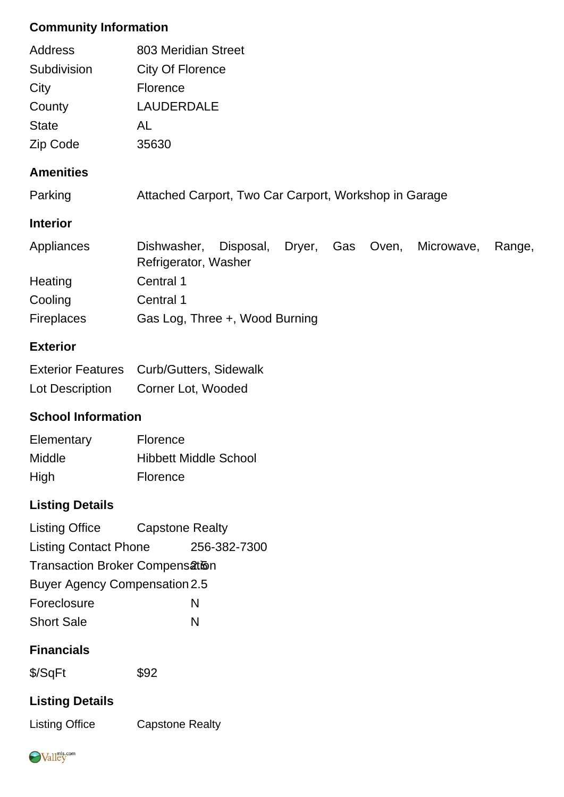### **Community Information**

| Address<br>Subdivision<br>City<br>County | 803 Meridian Street<br><b>City Of Florence</b><br><b>Florence</b><br><b>LAUDERDALE</b>             |  |  |  |  |
|------------------------------------------|----------------------------------------------------------------------------------------------------|--|--|--|--|
| <b>State</b>                             | AL                                                                                                 |  |  |  |  |
| Zip Code                                 | 35630                                                                                              |  |  |  |  |
| <b>Amenities</b>                         |                                                                                                    |  |  |  |  |
| Parking                                  | Attached Carport, Two Car Carport, Workshop in Garage                                              |  |  |  |  |
| <b>Interior</b>                          |                                                                                                    |  |  |  |  |
| Appliances                               | Disposal,<br>Dishwasher,<br>Dryer,<br>Gas<br>Oven,<br>Microwave,<br>Range,<br>Refrigerator, Washer |  |  |  |  |
| Heating                                  | Central 1                                                                                          |  |  |  |  |
| Cooling                                  | Central 1                                                                                          |  |  |  |  |
| <b>Fireplaces</b>                        | Gas Log, Three +, Wood Burning                                                                     |  |  |  |  |

#### **Exterior**

|                 | Exterior Features Curb/Gutters, Sidewalk |
|-----------------|------------------------------------------|
| Lot Description | Corner Lot, Wooded                       |

## **School Information**

| Elementary    | <b>Florence</b>              |
|---------------|------------------------------|
| <b>Middle</b> | <b>Hibbett Middle School</b> |
| High          | <b>Florence</b>              |

# **Listing Details**

| <b>Listing Office</b>                  | <b>Capstone Realty</b> |              |  |  |
|----------------------------------------|------------------------|--------------|--|--|
| <b>Listing Contact Phone</b>           |                        | 256-382-7300 |  |  |
| <b>Transaction Broker Compensation</b> |                        |              |  |  |
| <b>Buyer Agency Compensation 2.5</b>   |                        |              |  |  |
| Foreclosure                            |                        | N            |  |  |
| <b>Short Sale</b>                      |                        | N            |  |  |

#### **Financials**

\$/SqFt \$92

## **Listing Details**

Listing Office Capstone Realty